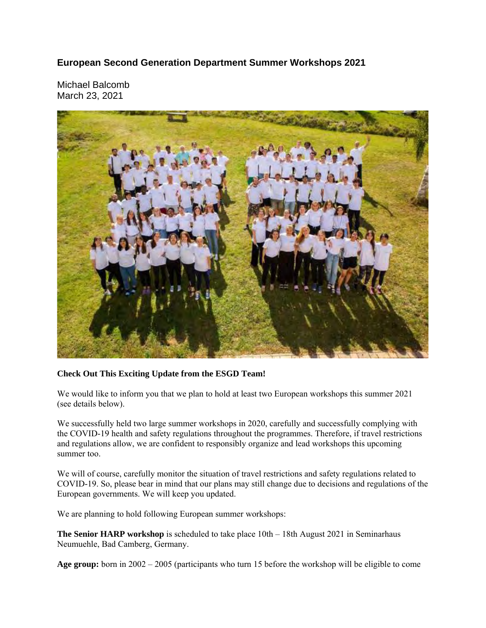## **European Second Generation Department Summer Workshops 2021**

Michael Balcomb March 23, 2021



## **Check Out This Exciting Update from the ESGD Team!**

We would like to inform you that we plan to hold at least two European workshops this summer 2021 (see details below).

We successfully held two large summer workshops in 2020, carefully and successfully complying with the COVID-19 health and safety regulations throughout the programmes. Therefore, if travel restrictions and regulations allow, we are confident to responsibly organize and lead workshops this upcoming summer too.

We will of course, carefully monitor the situation of travel restrictions and safety regulations related to COVID-19. So, please bear in mind that our plans may still change due to decisions and regulations of the European governments. We will keep you updated.

We are planning to hold following European summer workshops:

**The Senior HARP workshop** is scheduled to take place 10th – 18th August 2021 in Seminarhaus Neumuehle, Bad Camberg, Germany.

**Age group:** born in 2002 – 2005 (participants who turn 15 before the workshop will be eligible to come